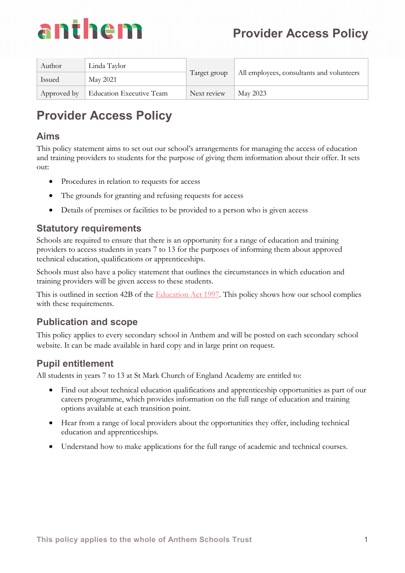

| Author      | Linda Taylor                    |              | All employees, consultants and volunteers |
|-------------|---------------------------------|--------------|-------------------------------------------|
| Issued      | May 2021                        | Target group |                                           |
| Approved by | <b>Education Executive Team</b> | Next review  | May 2023                                  |

# **Provider Access Policy**

#### **Aims**

This policy statement aims to set out our school's arrangements for managing the access of education and training providers to students for the purpose of giving them information about their offer. It sets out:

- Procedures in relation to requests for access
- The grounds for granting and refusing requests for access
- Details of premises or facilities to be provided to a person who is given access

#### **Statutory requirements**

Schools are required to ensure that there is an opportunity for a range of education and training providers to access students in years 7 to 13 for the purposes of informing them about approved technical education, qualifications or apprenticeships.

Schools must also have a policy statement that outlines the circumstances in which education and training providers will be given access to these students.

This is outlined in section 42B of the [Education Act 1997.](https://www.legislation.gov.uk/ukpga/1997/44/section/42B) This policy shows how our school complies with these requirements.

#### **Publication and scope**

This policy applies to every secondary school in Anthem and will be posted on each secondary school website. It can be made available in hard copy and in large print on request.

### **Pupil entitlement**

All students in years 7 to 13 at St Mark Church of England Academy are entitled to:

- Find out about technical education qualifications and apprenticeship opportunities as part of our careers programme, which provides information on the full range of education and training options available at each transition point.
- Hear from a range of local providers about the opportunities they offer, including technical education and apprenticeships.
- Understand how to make applications for the full range of academic and technical courses.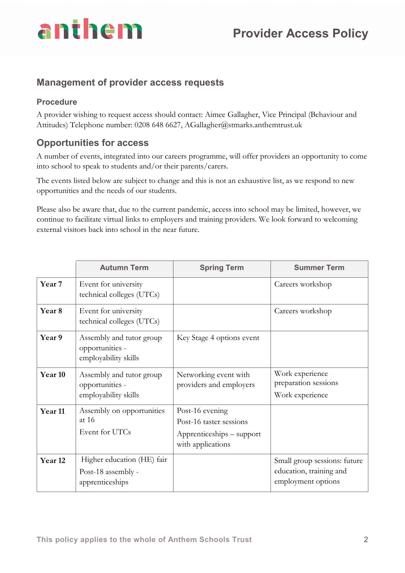

#### **Management of provider access requests**

#### **Procedure**

A provider wishing to request access should contact: Aimee Gallagher, Vice Principal (Behaviour and Attitudes) Telephone number: 0208 648 6627, AGallagher@stmarks.anthemtrust.uk

#### **Opportunities for access**

A number of events, integrated into our careers programme, will offer providers an opportunity to come into school to speak to students and/or their parents/carers.

The events listed below are subject to change and this is not an exhaustive list, as we respond to new opportunities and the needs of our students.

Please also be aware that, due to the current pandemic, access into school may be limited, however, we continue to facilitate virtual links to employers and training providers. We look forward to welcoming external visitors back into school in the near future.

|                    | <b>Autumn Term</b>                                                  | <b>Spring Term</b>                                                                           | <b>Summer Term</b>                                                            |
|--------------------|---------------------------------------------------------------------|----------------------------------------------------------------------------------------------|-------------------------------------------------------------------------------|
| Year <sub>7</sub>  | Event for university<br>technical colleges (UTCs)                   |                                                                                              | Careers workshop                                                              |
| Year <sub>8</sub>  | Event for university<br>technical colleges (UTCs)                   |                                                                                              | Careers workshop                                                              |
| Year 9             | Assembly and tutor group<br>opportunities -<br>employability skills | Key Stage 4 options event                                                                    |                                                                               |
| Year 10            | Assembly and tutor group<br>opportunities -<br>employability skills | Networking event with<br>providers and employers                                             | Work experience<br>preparation sessions<br>Work experience                    |
| Year <sub>11</sub> | Assembly on opportunities<br>at $16$<br>Event for UTCs              | Post-16 evening<br>Post-16 taster sessions<br>Apprenticeships – support<br>with applications |                                                                               |
| Year <sub>12</sub> | Higher education (HE) fair<br>Post-18 assembly -<br>apprenticeships |                                                                                              | Small group sessions: future<br>education, training and<br>employment options |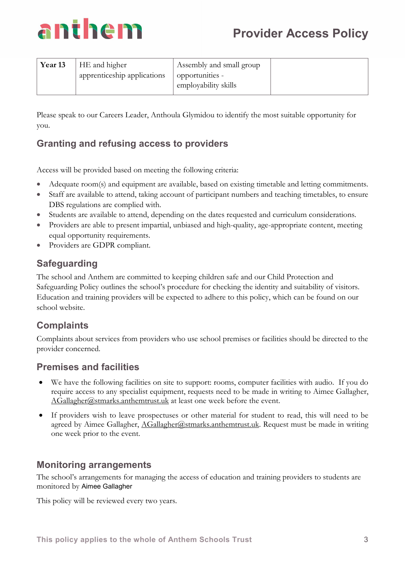

| Year 13 | HE and higher               | Assembly and small group                |  |
|---------|-----------------------------|-----------------------------------------|--|
|         | apprenticeship applications | opportunities -<br>employability skills |  |

Please speak to our Careers Leader, Anthoula Glymidou to identify the most suitable opportunity for you.

## **Granting and refusing access to providers**

Access will be provided based on meeting the following criteria:

- Adequate room(s) and equipment are available, based on existing timetable and letting commitments.
- Staff are available to attend, taking account of participant numbers and teaching timetables, to ensure DBS regulations are complied with.
- Students are available to attend, depending on the dates requested and curriculum considerations.
- Providers are able to present impartial, unbiased and high-quality, age-appropriate content, meeting equal opportunity requirements.
- Providers are GDPR compliant.

## **Safeguarding**

The school and Anthem are committed to keeping children safe and our Child Protection and Safeguarding Policy outlines the school's procedure for checking the identity and suitability of visitors. Education and training providers will be expected to adhere to this policy, which can be found on our school website.

## **Complaints**

Complaints about services from providers who use school premises or facilities should be directed to the provider concerned.

### **Premises and facilities**

- We have the following facilities on site to support: rooms, computer facilities with audio. If you do require access to any specialist equipment, requests need to be made in writing to Aimee Gallagher, [AGallagher@stmarks.anthemtrust.uk](mailto:AGallagher@stmarks.anthemtrust.uk) at least one week before the event.
- If providers wish to leave prospectuses or other material for student to read, this will need to be agreed by Aimee Gallagher,  $AGallagher(@stmarks.anthemtrust.uk.$  Request must be made in writing one week prior to the event.

### **Monitoring arrangements**

The school's arrangements for managing the access of education and training providers to students are monitored by Aimee Gallagher

This policy will be reviewed every two years.